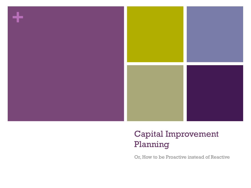

#### Capital Improvement Planning

Or, How to be Proactive instead of Reactive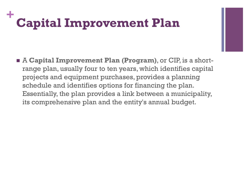## **+ Capital Improvement Plan**

 A **Capital Improvement Plan (Program)**, or CIP, is a shortrange plan, usually four to ten years, which identifies capital projects and equipment purchases, provides a planning schedule and identifies options for financing the plan. Essentially, the plan provides a link between a municipality, its comprehensive plan and the entity's annual budget.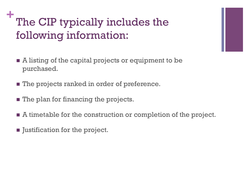### **+** The CIP typically includes the following information:

- A listing of the capital projects or equipment to be purchased.
- **The projects ranked in order of preference.**
- **The plan for financing the projects.**
- A timetable for the construction or completion of the project.
- **If** Justification for the project.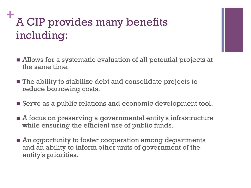# **<sup>+</sup>**A CIP provides many benefits including:

- Allows for a systematic evaluation of all potential projects at the same time.
- The ability to stabilize debt and consolidate projects to reduce borrowing costs.
- **Serve as a public relations and economic development tool.**
- A focus on preserving a governmental entity's infrastructure while ensuring the efficient use of public funds.
- **An** opportunity to foster cooperation among departments and an ability to inform other units of government of the entity's priorities.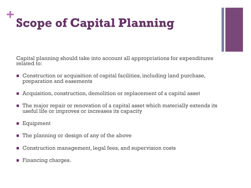### **+ Scope of Capital Planning**

Capital planning should take into account all appropriations for expenditures related to:

- Construction or acquisition of capital facilities, including land purchase, preparation and easements
- Acquisition, construction, demolition or replacement of a capital asset
- **The major repair or renovation of a capital asset which materially extends its** useful life or improves or increases its capacity
- **Equipment**
- $\blacksquare$  The planning or design of any of the above
- Construction management, legal fees, and supervision costs
- **Financing charges.**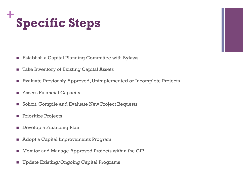

- **Establish a Capital Planning Committee with Bylaws**
- Take Inventory of Existing Capital Assets
- Evaluate Previously Approved, Unimplemented or Incomplete Projects
- **Assess Financial Capacity**
- **Solicit, Compile and Evaluate New Project Requests**
- **Prioritize Projects**
- **Develop a Financing Plan**
- **Adopt a Capital Improvements Program**
- **Monitor and Manage Approved Projects within the CIP**
- **Update Existing/Ongoing Capital Programs**